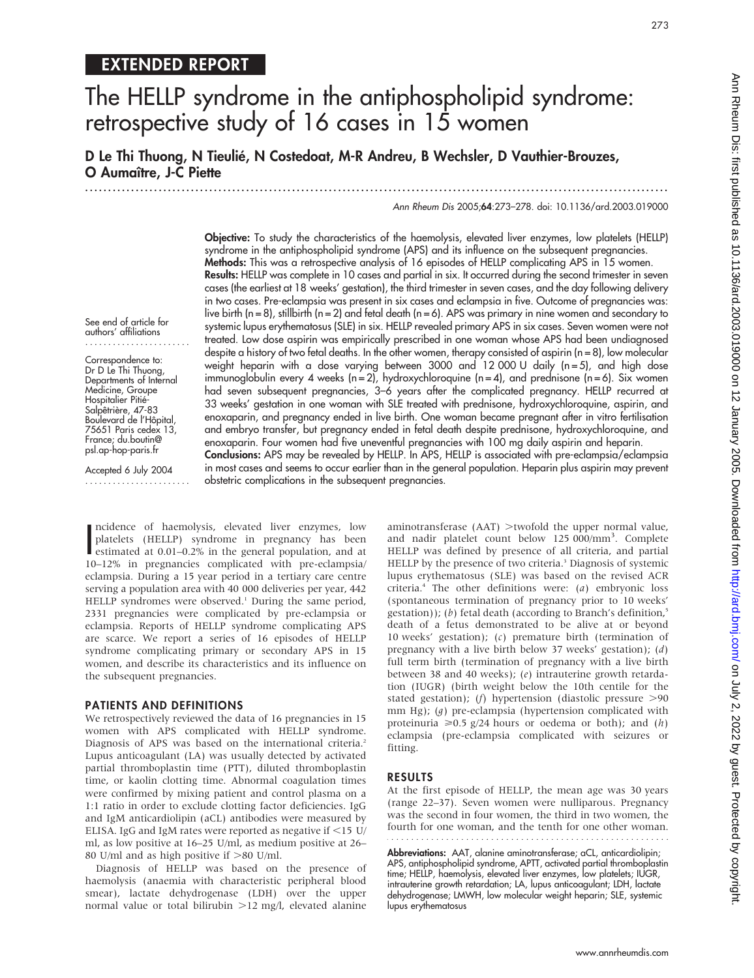## EXTENDED REPORT

# The HELLP syndrome in the antiphospholipid syndrome: retrospective study of 16 cases in 15 women

D Le Thi Thuong, N Tieulié, N Costedoat, M-R Andreu, B Wechsler, D Vauthier-Brouzes, O Aumaître, J-C Piette

.............................................................................................................................. .

Ann Rheum Dis 2005;64:273–278. doi: 10.1136/ard.2003.019000

273

Objective: To study the characteristics of the haemolysis, elevated liver enzymes, low platelets (HELLP) syndrome in the antiphospholipid syndrome (APS) and its influence on the subsequent pregnancies. Methods: This was a retrospective analysis of 16 episodes of HELLP complicating APS in 15 women. Results: HELLP was complete in 10 cases and partial in six. It occurred during the second trimester in seven cases (the earliest at 18 weeks' gestation), the third trimester in seven cases, and the day following delivery in two cases. Pre-eclampsia was present in six cases and eclampsia in five. Outcome of pregnancies was: live birth (n = 8), stillbirth (n = 2) and fetal death (n = 6). APS was primary in nine women and secondary to systemic lupus erythematosus (SLE) in six. HELLP revealed primary APS in six cases. Seven women were not treated. Low dose aspirin was empirically prescribed in one woman whose APS had been undiagnosed despite a history of two fetal deaths. In the other women, therapy consisted of aspirin (n = 8), low molecular weight heparin with a dose varying between 3000 and 12 000 U daily ( $n = 5$ ), and high dose immunoglobulin every 4 weeks (n = 2), hydroxychloroquine (n = 4), and prednisone (n = 6). Six women had seven subsequent pregnancies, 3-6 years after the complicated pregnancy. HELLP recurred at 33 weeks' gestation in one woman with SLE treated with prednisone, hydroxychloroquine, aspirin, and enoxaparin, and pregnancy ended in live birth. One woman became pregnant after in vitro fertilisation and embryo transfer, but pregnancy ended in fetal death despite prednisone, hydroxychloroquine, and enoxaparin. Four women had five uneventful pregnancies with 100 mg daily aspirin and heparin.

See end of article for authors' affiliations .......................

Correspondence to: Dr D Le Thi Thuong, Departments of Internal Medicine, Groupe Hospitalier Pitié Salpêtrière, 47-83 Boulevard de l'Hôpital, 75651 Paris cedex 13, France; du.boutin@ psl.ap-hop-paris.fr

Accepted 6 July 2004 ....................... Conclusions: APS may be revealed by HELLP. In APS, HELLP is associated with pre-eclampsia/eclampsia in most cases and seems to occur earlier than in the general population. Heparin plus aspirin may prevent obstetric complications in the subsequent pregnancies.

ncidence of naemolysis, elevated liver enzymes, low<br>platelets (HELLP) syndrome in pregnancy has been<br>estimated at 0.01–0.2% in the general population, and at<br> $\frac{120}{12}$  in ncidence of haemolysis, elevated liver enzymes, low platelets (HELLP) syndrome in pregnancy has been 10–12% in pregnancies complicated with pre-eclampsia/ eclampsia. During a 15 year period in a tertiary care centre serving a population area with 40 000 deliveries per year, 442 HELLP syndromes were observed.<sup>1</sup> During the same period, 2331 pregnancies were complicated by pre-eclampsia or eclampsia. Reports of HELLP syndrome complicating APS are scarce. We report a series of 16 episodes of HELLP syndrome complicating primary or secondary APS in 15 women, and describe its characteristics and its influence on the subsequent pregnancies.

#### PATIENTS AND DEFINITIONS

We retrospectively reviewed the data of 16 pregnancies in 15 women with APS complicated with HELLP syndrome. Diagnosis of APS was based on the international criteria.<sup>2</sup> Lupus anticoagulant (LA) was usually detected by activated partial thromboplastin time (PTT), diluted thromboplastin time, or kaolin clotting time. Abnormal coagulation times were confirmed by mixing patient and control plasma on a 1:1 ratio in order to exclude clotting factor deficiencies. IgG and IgM anticardiolipin (aCL) antibodies were measured by ELISA. IgG and IgM rates were reported as negative if  $\leq$ 15 U/ ml, as low positive at 16–25 U/ml, as medium positive at 26– 80 U/ml and as high positive if  $>$ 80 U/ml.

Diagnosis of HELLP was based on the presence of haemolysis (anaemia with characteristic peripheral blood smear), lactate dehydrogenase (LDH) over the upper normal value or total bilirubin  $>12$  mg/l, elevated alanine

aminotransferase  $(AAT)$  >twofold the upper normal value, and nadir platelet count below 125 000/mm<sup>3</sup>. Complete HELLP was defined by presence of all criteria, and partial HELLP by the presence of two criteria.<sup>3</sup> Diagnosis of systemic lupus erythematosus (SLE) was based on the revised ACR criteria.4 The other definitions were: (a) embryonic loss (spontaneous termination of pregnancy prior to 10 weeks' gestation)); (b) fetal death (according to Branch's definition, $5$ death of a fetus demonstrated to be alive at or beyond 10 weeks' gestation); (c) premature birth (termination of pregnancy with a live birth below 37 weeks' gestation); (d) full term birth (termination of pregnancy with a live birth between 38 and 40 weeks); (e) intrauterine growth retardation (IUGR) (birth weight below the 10th centile for the stated gestation); (f) hypertension (diastolic pressure  $>90$ mm Hg); (*q*) pre-eclampsia (hypertension complicated with proteinuria  $\geq 0.5$  g/24 hours or oedema or both); and (h) eclampsia (pre-eclampsia complicated with seizures or fitting.

### RESULTS

At the first episode of HELLP, the mean age was 30 years (range 22–37). Seven women were nulliparous. Pregnancy was the second in four women, the third in two women, the fourth for one woman, and the tenth for one other woman.

Abbreviations: AAT, alanine aminotransferase; aCL, anticardiolipin; APS, antiphospholipid syndrome, APTT, activated partial thromboplastin time; HELLP, haemolysis, elevated liver enzymes, low platelets; IUGR, intrauterine growth retardation; LA, lupus anticoagulant; LDH, lactate dehydrogenase; LMWH, low molecular weight heparin; SLE, systemic lupus erythematosus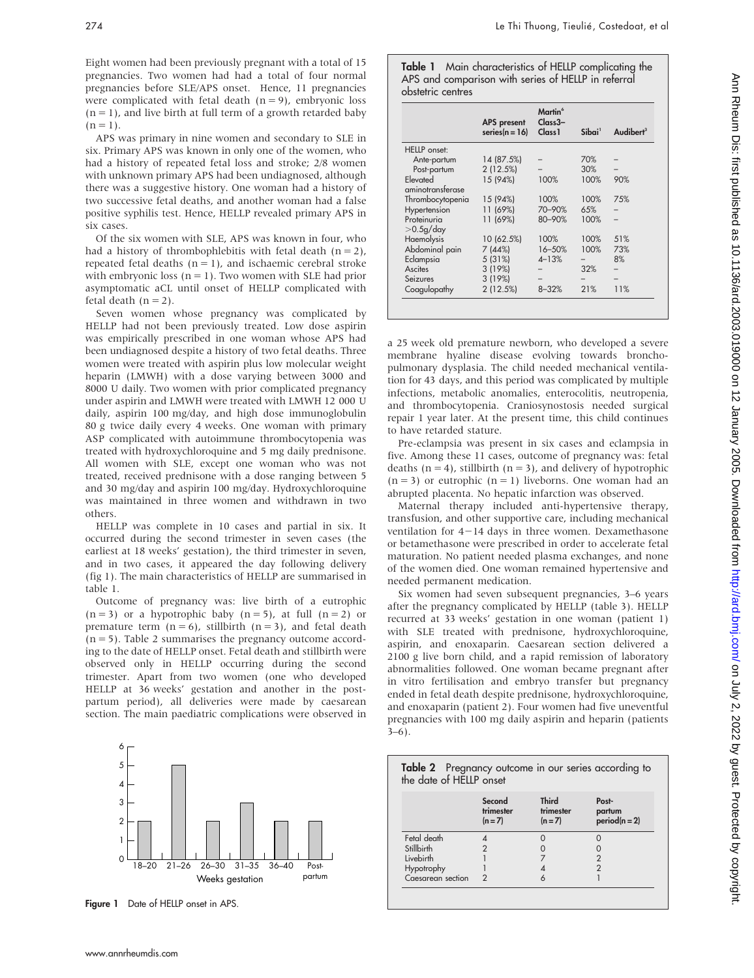Eight women had been previously pregnant with a total of 15 pregnancies. Two women had had a total of four normal pregnancies before SLE/APS onset. Hence, 11 pregnancies were complicated with fetal death  $(n = 9)$ , embryonic loss  $(n = 1)$ , and live birth at full term of a growth retarded baby  $(n = 1)$ .

APS was primary in nine women and secondary to SLE in six. Primary APS was known in only one of the women, who had a history of repeated fetal loss and stroke; 2/8 women with unknown primary APS had been undiagnosed, although there was a suggestive history. One woman had a history of two successive fetal deaths, and another woman had a false positive syphilis test. Hence, HELLP revealed primary APS in six cases.

Of the six women with SLE, APS was known in four, who had a history of thrombophlebitis with fetal death  $(n = 2)$ , repeated fetal deaths  $(n = 1)$ , and ischaemic cerebral stroke with embryonic loss  $(n = 1)$ . Two women with SLE had prior asymptomatic aCL until onset of HELLP complicated with fetal death  $(n = 2)$ .

Seven women whose pregnancy was complicated by HELLP had not been previously treated. Low dose aspirin was empirically prescribed in one woman whose APS had been undiagnosed despite a history of two fetal deaths. Three women were treated with aspirin plus low molecular weight heparin (LMWH) with a dose varying between 3000 and 8000 U daily. Two women with prior complicated pregnancy under aspirin and LMWH were treated with LMWH 12 000 U daily, aspirin 100 mg/day, and high dose immunoglobulin 80 g twice daily every 4 weeks. One woman with primary ASP complicated with autoimmune thrombocytopenia was treated with hydroxychloroquine and 5 mg daily prednisone. All women with SLE, except one woman who was not treated, received prednisone with a dose ranging between 5 and 30 mg/day and aspirin 100 mg/day. Hydroxychloroquine was maintained in three women and withdrawn in two others.

HELLP was complete in 10 cases and partial in six. It occurred during the second trimester in seven cases (the earliest at 18 weeks' gestation), the third trimester in seven, and in two cases, it appeared the day following delivery (fig 1). The main characteristics of HELLP are summarised in table 1.

Outcome of pregnancy was: live birth of a eutrophic  $(n = 3)$  or a hypotrophic baby  $(n = 5)$ , at full  $(n = 2)$  or premature term  $(n = 6)$ , stillbirth  $(n = 3)$ , and fetal death  $(n = 5)$ . Table 2 summarises the pregnancy outcome according to the date of HELLP onset. Fetal death and stillbirth were observed only in HELLP occurring during the second trimester. Apart from two women (one who developed HELLP at 36 weeks' gestation and another in the postpartum period), all deliveries were made by caesarean section. The main paediatric complications were observed in



Figure 1 Date of HELLP onset in APS.

Table 1 Main characteristics of HELLP complicating the APS and comparison with series of HELLP in referral obstetric centres

|                  | <b>APS</b> present | Martin <sup>6</sup><br>Class3- |                    |                       |
|------------------|--------------------|--------------------------------|--------------------|-----------------------|
|                  | series $(n = 16)$  | Class <sub>1</sub>             | Sibai <sup>1</sup> | Audibert <sup>3</sup> |
| HELLP onset:     |                    |                                |                    |                       |
| Ante-partum      | 14 (87.5%)         |                                | 70%                |                       |
| Post-partum      | 2(12.5%)           |                                | 30%                |                       |
| Elevated         | 15 (94%)           | 100%                           | 100%               | 90%                   |
| aminotransferase |                    |                                |                    |                       |
| Thrombocytopenia | 15 (94%)           | 100%                           | 100%               | 75%                   |
| Hypertension     | 11 (69%)           | 70-90%                         | 65%                |                       |
| Proteinuria      | 11 (69%)           | 80-90%                         | 100%               |                       |
| $>$ 0.5g/day     |                    |                                |                    |                       |
| Haemolysis       | 10 (62.5%)         | 100%                           | 100%               | 51%                   |
| Abdominal pain   | 7 (44%)            | 16-50%                         | 100%               | 73%                   |
| Eclampsia        | 5 (31%)            | $4 - 13%$                      |                    | 8%                    |
| Ascites          | 3(19%)             |                                | 32%                |                       |
| <b>Seizures</b>  | 3(19%)             |                                |                    |                       |
| Coagulopathy     | 2(12.5%)           | $8 - 32%$                      | 21%                | 11%                   |

a 25 week old premature newborn, who developed a severe membrane hyaline disease evolving towards bronchopulmonary dysplasia. The child needed mechanical ventilation for 43 days, and this period was complicated by multiple infections, metabolic anomalies, enterocolitis, neutropenia, and thrombocytopenia. Craniosynostosis needed surgical repair 1 year later. At the present time, this child continues to have retarded stature.

Pre-eclampsia was present in six cases and eclampsia in five. Among these 11 cases, outcome of pregnancy was: fetal deaths  $(n = 4)$ , stillbirth  $(n = 3)$ , and delivery of hypotrophic  $(n = 3)$  or eutrophic  $(n = 1)$  liveborns. One woman had an abrupted placenta. No hepatic infarction was observed.

Maternal therapy included anti-hypertensive therapy, transfusion, and other supportive care, including mechanical ventilation for  $4-14$  days in three women. Dexamethasone or betamethasone were prescribed in order to accelerate fetal maturation. No patient needed plasma exchanges, and none of the women died. One woman remained hypertensive and needed permanent medication.

Six women had seven subsequent pregnancies, 3–6 years after the pregnancy complicated by HELLP (table 3). HELLP recurred at 33 weeks' gestation in one woman (patient 1) with SLE treated with prednisone, hydroxychloroquine, aspirin, and enoxaparin. Caesarean section delivered a 2100 g live born child, and a rapid remission of laboratory abnormalities followed. One woman became pregnant after in vitro fertilisation and embryo transfer but pregnancy ended in fetal death despite prednisone, hydroxychloroquine, and enoxaparin (patient 2). Four women had five uneventful pregnancies with 100 mg daily aspirin and heparin (patients  $3-6$ ).

|                   | <b>Third</b><br>Second<br>Post- |                      |                           |
|-------------------|---------------------------------|----------------------|---------------------------|
|                   | trimester<br>$(n=7)$            | trimester<br>$(n=7)$ | partum<br>$period(n = 2)$ |
| Fetal death       |                                 |                      |                           |
| Stillbirth        |                                 |                      |                           |
| Livebirth         |                                 |                      |                           |
| Hypotrophy        |                                 |                      |                           |
| Caesarean section |                                 |                      |                           |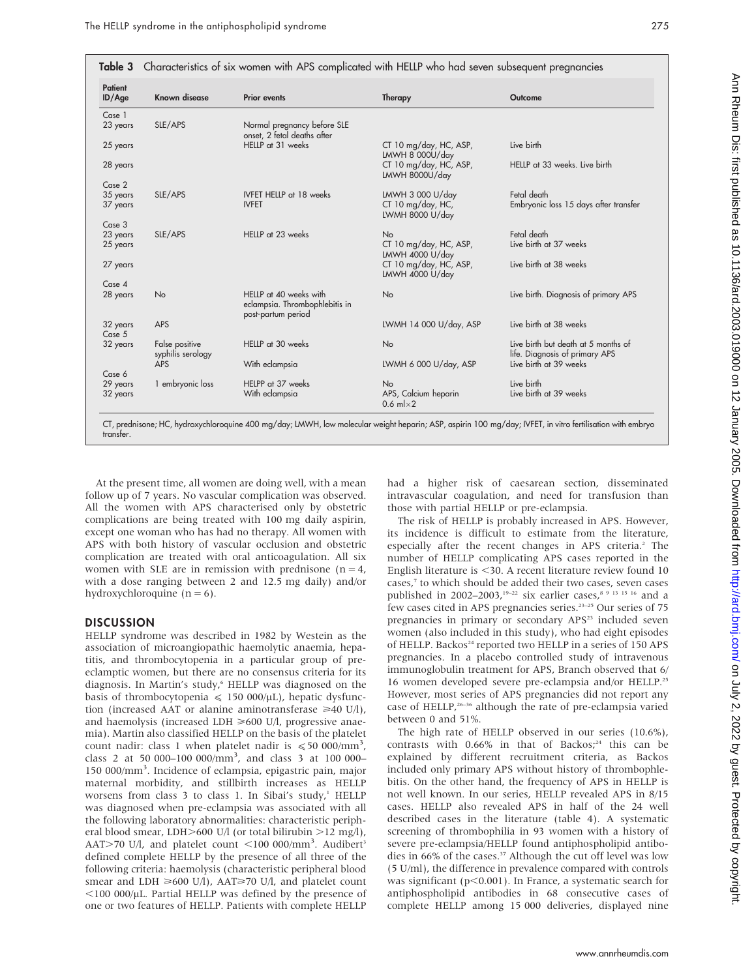| Patient<br>ID/Age    | Known disease                       | <b>Prior events</b>                                                            | Therapy                                                     | Outcome                                                               |
|----------------------|-------------------------------------|--------------------------------------------------------------------------------|-------------------------------------------------------------|-----------------------------------------------------------------------|
|                      |                                     |                                                                                |                                                             |                                                                       |
| Case 1<br>23 years   | SLE/APS                             | Normal pregnancy before SLE<br>onset, 2 fetal deaths after                     |                                                             |                                                                       |
| 25 years             |                                     | HELLP at 31 weeks                                                              | CT 10 mg/day, HC, ASP,<br>LMWH 8 000U/day                   | Live birth                                                            |
| 28 years             |                                     |                                                                                | CT 10 mg/day, HC, ASP,<br>LMWH 8000U/day                    | HELLP at 33 weeks. Live birth                                         |
| Case 2               |                                     |                                                                                |                                                             |                                                                       |
| 35 years<br>37 years | SLE/APS                             | <b>IVFET HELLP</b> at 18 weeks<br><b>IVFET</b>                                 | LMWH 3 000 U/day<br>$CT 10 mg/day$ , HC,<br>LWMH 8000 U/day | Fetal death<br>Embryonic loss 15 days after transfer                  |
| Case 3               |                                     |                                                                                |                                                             |                                                                       |
| 23 years<br>25 years | SLE/APS                             | HELLP at 23 weeks                                                              | <b>No</b><br>CT 10 mg/day, HC, ASP,<br>LMWH 4000 U/day      | Fetal death<br>Live birth at 37 weeks                                 |
| 27 years             |                                     |                                                                                | CT 10 mg/day, HC, ASP,<br>LMWH 4000 U/day                   | Live birth at 38 weeks                                                |
| Case 4               |                                     |                                                                                |                                                             |                                                                       |
| 28 years             | <b>No</b>                           | HELLP at 40 weeks with<br>eclampsia. Thrombophlebitis in<br>post-partum period | No                                                          | Live birth. Diagnosis of primary APS                                  |
| 32 years<br>Case 5   | APS                                 |                                                                                | LWMH 14 000 U/day, ASP                                      | Live birth at 38 weeks                                                |
| 32 years             | False positive<br>syphilis serology | HELLP at 30 weeks                                                              | <b>No</b>                                                   | Live birth but death at 5 months of<br>life. Diagnosis of primary APS |
|                      | <b>APS</b>                          | With eclampsia                                                                 | LWMH 6 000 U/day, ASP                                       | Live birth at 39 weeks                                                |
| Case 6               |                                     |                                                                                |                                                             |                                                                       |
| 29 years             | 1 embryonic loss                    | HELPP at 37 weeks                                                              | <b>No</b>                                                   | Live birth                                                            |
| 32 years             |                                     | With eclampsia                                                                 | APS, Calcium heparin<br>0.6 m $\vert \times 2$              | Live birth at 39 weeks                                                |

CT, prednisone; HC, hydroxychloroquine 400 mg/day; LMWH, low molecular weight heparin; ASP, aspirin 100 mg/day; IVFET, in vitro fertilisation with embryo transfer.

At the present time, all women are doing well, with a mean follow up of 7 years. No vascular complication was observed. All the women with APS characterised only by obstetric complications are being treated with 100 mg daily aspirin, except one woman who has had no therapy. All women with APS with both history of vascular occlusion and obstetric complication are treated with oral anticoagulation. All six women with SLE are in remission with prednisone  $(n = 4,$ with a dose ranging between 2 and 12.5 mg daily) and/or hydroxychloroquine  $(n = 6)$ .

#### **DISCUSSION**

HELLP syndrome was described in 1982 by Westein as the association of microangiopathic haemolytic anaemia, hepatitis, and thrombocytopenia in a particular group of preeclamptic women, but there are no consensus criteria for its diagnosis. In Martin's study,<sup>6</sup> HELLP was diagnosed on the basis of thrombocytopenia  $\leq 150 000/\mu L$ ), hepatic dysfunction (increased AAT or alanine aminotransferase  $\geq 40$  U/l), and haemolysis (increased LDH  $\geq 600$  U/l, progressive anaemia). Martin also classified HELLP on the basis of the platelet count nadir: class 1 when platelet nadir is  $\leq 50000/\text{mm}^3$ , class 2 at 50 000–100 000/mm<sup>3</sup> , and class 3 at 100 000– 150 000/mm<sup>3</sup> . Incidence of eclampsia, epigastric pain, major maternal morbidity, and stillbirth increases as HELLP worsens from class 3 to class 1. In Sibai's study, $<sup>1</sup>$  HELLP</sup> was diagnosed when pre-eclampsia was associated with all the following laboratory abnormalities: characteristic peripheral blood smear, LDH $>600$  U/l (or total bilirubin  $>12$  mg/l), AAT>70 U/l, and platelet count <100 000/mm<sup>3</sup>. Audibert<sup>3</sup> defined complete HELLP by the presence of all three of the following criteria: haemolysis (characteristic peripheral blood smear and LDH  $\geq 600$  U/l), AAT $\geq 70$  U/l, and platelet count  $<$ 100 000/µL. Partial HELLP was defined by the presence of one or two features of HELLP. Patients with complete HELLP had a higher risk of caesarean section, disseminated intravascular coagulation, and need for transfusion than those with partial HELLP or pre-eclampsia.

The risk of HELLP is probably increased in APS. However, its incidence is difficult to estimate from the literature, especially after the recent changes in APS criteria.<sup>2</sup> The number of HELLP complicating APS cases reported in the English literature is  $\leq$ 30. A recent literature review found 10 cases,<sup>7</sup> to which should be added their two cases, seven cases published in 2002–2003,<sup>19–22</sup> six earlier cases,<sup>8 9 13 15 16</sup> and a few cases cited in APS pregnancies series.<sup>23-25</sup> Our series of 75 pregnancies in primary or secondary APS<sup>23</sup> included seven women (also included in this study), who had eight episodes of HELLP. Backos<sup>24</sup> reported two HELLP in a series of 150 APS pregnancies. In a placebo controlled study of intravenous immunoglobulin treatment for APS, Branch observed that 6/ 16 women developed severe pre-eclampsia and/or HELLP.25 However, most series of APS pregnancies did not report any case of HELLP,<sup>26-36</sup> although the rate of pre-eclampsia varied between 0 and 51%.

The high rate of HELLP observed in our series (10.6%), contrasts with  $0.66\%$  in that of Backos;<sup>24</sup> this can be explained by different recruitment criteria, as Backos included only primary APS without history of thrombophlebitis. On the other hand, the frequency of APS in HELLP is not well known. In our series, HELLP revealed APS in 8/15 cases. HELLP also revealed APS in half of the 24 well described cases in the literature (table 4). A systematic screening of thrombophilia in 93 women with a history of severe pre-eclampsia/HELLP found antiphospholipid antibodies in 66% of the cases.<sup>37</sup> Although the cut off level was low (5 U/ml), the difference in prevalence compared with controls was significant ( $p<0.001$ ). In France, a systematic search for antiphospholipid antibodies in 68 consecutive cases of complete HELLP among 15 000 deliveries, displayed nine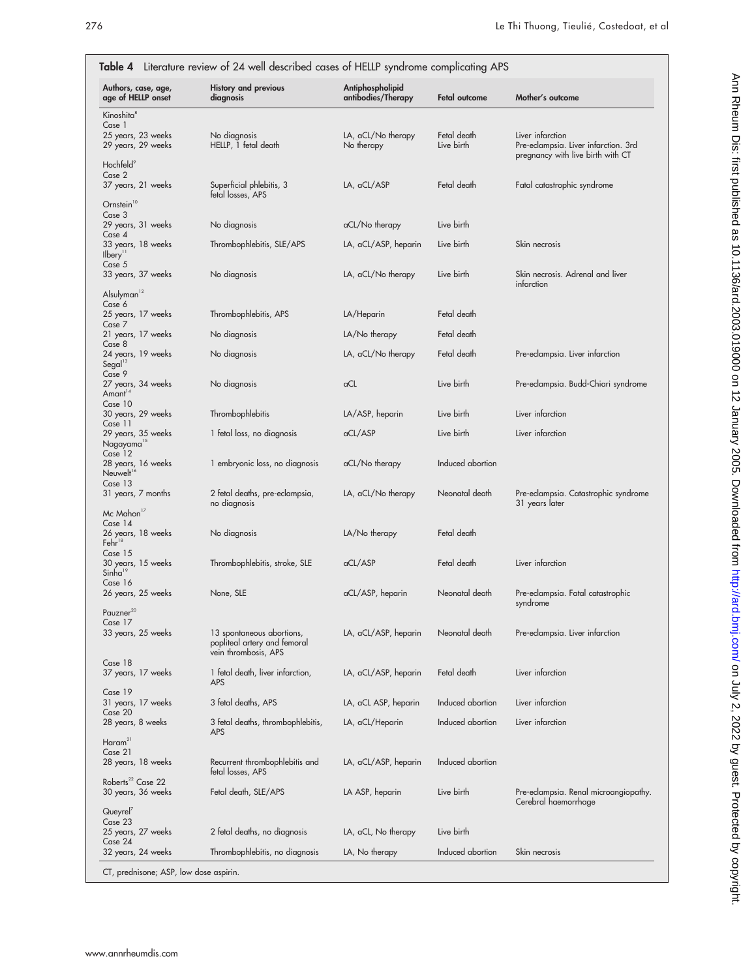| Authors, case, age,                                    | <b>History and previous</b>                          | Antiphospholipid                 |                           |                                                          |
|--------------------------------------------------------|------------------------------------------------------|----------------------------------|---------------------------|----------------------------------------------------------|
| age of HELLP onset                                     | diagnosis                                            | antibodies/Therapy               | Fetal outcome             | Mother's outcome                                         |
| Kinoshita <sup>8</sup><br>Case 1                       |                                                      |                                  |                           |                                                          |
| 25 years, 23 weeks<br>29 years, 29 weeks               | No diagnosis<br>HELLP, 1 fetal death                 | LA, aCL/No therapy<br>No therapy | Fetal death<br>Live birth | Liver infarction<br>Pre-eclampsia. Liver infarction. 3rd |
|                                                        |                                                      |                                  |                           | pregnancy with live birth with CT                        |
| Hochfeld <sup>9</sup><br>Case 2                        |                                                      |                                  |                           |                                                          |
| 37 years, 21 weeks                                     | Superficial phlebitis, 3<br>fetal losses, APS        | LA, aCL/ASP                      | Fetal death               | Fatal catastrophic syndrome                              |
| Ornstein <sup>10</sup>                                 |                                                      |                                  |                           |                                                          |
| Case 3<br>29 years, 31 weeks                           | No diagnosis                                         | aCL/No therapy                   | Live birth                |                                                          |
| Case 4                                                 |                                                      |                                  | Live birth                | Skin necrosis                                            |
| 33 years, 18 weeks<br>Il <sub>bery</sub> <sup>11</sup> | Thrombophlebitis, SLE/APS                            | LA, aCL/ASP, heparin             |                           |                                                          |
| Case 5<br>33 years, 37 weeks                           | No diagnosis                                         | LA, aCL/No therapy               | Live birth                | Skin necrosis. Adrenal and liver                         |
|                                                        |                                                      |                                  |                           | infarction                                               |
| Alsulyman <sup>12</sup><br>Case 6                      |                                                      |                                  |                           |                                                          |
| 25 years, 17 weeks<br>Case 7                           | Thrombophlebitis, APS                                | LA/Heparin                       | Fetal death               |                                                          |
| 21 years, 17 weeks                                     | No diagnosis                                         | LA/No therapy                    | Fetal death               |                                                          |
| Case 8<br>24 years, 19 weeks                           | No diagnosis                                         | LA, aCL/No therapy               | Fetal death               | Pre-eclampsia. Liver infarction                          |
| Segal <sup>13</sup><br>Case 9                          |                                                      |                                  |                           |                                                          |
| 27 years, 34 weeks                                     | No diagnosis                                         | aCL                              | Live birth                | Pre-eclampsia. Budd-Chiari syndrome                      |
| Amant <sup>14</sup><br>Case 10                         |                                                      |                                  |                           |                                                          |
| 30 years, 29 weeks<br>Case 11                          | Thrombophlebitis                                     | LA/ASP, heparin                  | Live birth                | Liver infarction                                         |
| 29 years, 35 weeks                                     | 1 fetal loss, no diagnosis                           | aCL/ASP                          | Live birth                | Liver infarction                                         |
| Nagayama <sup>15</sup><br>Case 12                      |                                                      |                                  |                           |                                                          |
| 28 years, 16 weeks<br>Neuwelt <sup>16</sup>            | 1 embryonic loss, no diagnosis                       | aCL/No therapy                   | Induced abortion          |                                                          |
| Case 13                                                |                                                      |                                  |                           |                                                          |
| 31 years, 7 months                                     | 2 fetal deaths, pre-eclampsia,<br>no diagnosis       | LA, aCL/No therapy               | Neonatal death            | Pre-eclampsia. Catastrophic syndrome<br>31 years later   |
| Mc Mahon <sup>17</sup>                                 |                                                      |                                  |                           |                                                          |
| Case 14<br>26 years, 18 weeks                          | No diagnosis                                         | LA/No therapy                    | Fetal death               |                                                          |
| Fehr <sup>18</sup><br>Case 15                          |                                                      |                                  |                           |                                                          |
| 30 years, 15 weeks                                     | Thrombophlebitis, stroke, SLE                        | aCL/ASP                          | Fetal death               | Liver infarction                                         |
| Sinha <sup>19</sup><br>Case 16                         |                                                      |                                  |                           |                                                          |
| 26 years, 25 weeks                                     | None, SLE                                            | aCL/ASP, heparin                 | Neonatal death            | Pre-eclampsia. Fatal catastrophic<br>syndrome            |
| 20<br>Pauzner                                          |                                                      |                                  |                           |                                                          |
| Case 17<br>33 years, 25 weeks                          | 13 spontaneous abortions,                            | LA, aCL/ASP, heparin             | Neonatal death            | Pre-eclampsia. Liver infarction                          |
|                                                        | popliteal artery and femoral<br>vein thrombosis, APS |                                  |                           |                                                          |
| Case 18                                                |                                                      |                                  |                           |                                                          |
| 37 years, 17 weeks                                     | 1 fetal death, liver infarction,<br><b>APS</b>       | LA, aCL/ASP, heparin             | Fetal death               | Liver infarction                                         |
| Case 19                                                |                                                      |                                  | Induced abortion          |                                                          |
| 31 years, 17 weeks<br>Case 20                          | 3 fetal deaths, APS                                  | LA, aCL ASP, heparin             |                           | Liver infarction                                         |
| 28 years, 8 weeks                                      | 3 fetal deaths, thrombophlebitis,<br><b>APS</b>      | LA, aCL/Heparin                  | Induced abortion          | Liver infarction                                         |
| $H$ aram <sup>21</sup>                                 |                                                      |                                  |                           |                                                          |
| Case 21<br>28 years, 18 weeks                          | Recurrent thrombophlebitis and                       | LA, aCL/ASP, heparin             | Induced abortion          |                                                          |
| Roberts <sup>22</sup> Case 22                          | fetal losses, APS                                    |                                  |                           |                                                          |
| 30 years, 36 weeks                                     | Fetal death, SLE/APS                                 | LA ASP, heparin                  | Live birth                | Pre-eclampsia. Renal microangiopathy.                    |
| Queyrel <sup>7</sup>                                   |                                                      |                                  |                           | Cerebral haemorrhage                                     |
| Case 23<br>25 years, 27 weeks                          | 2 fetal deaths, no diagnosis                         | LA, aCL, No therapy              | Live birth                |                                                          |
| Case 24                                                |                                                      |                                  |                           |                                                          |
| 32 years, 24 weeks                                     | Thrombophlebitis, no diagnosis                       | LA, No therapy                   | Induced abortion          | Skin necrosis                                            |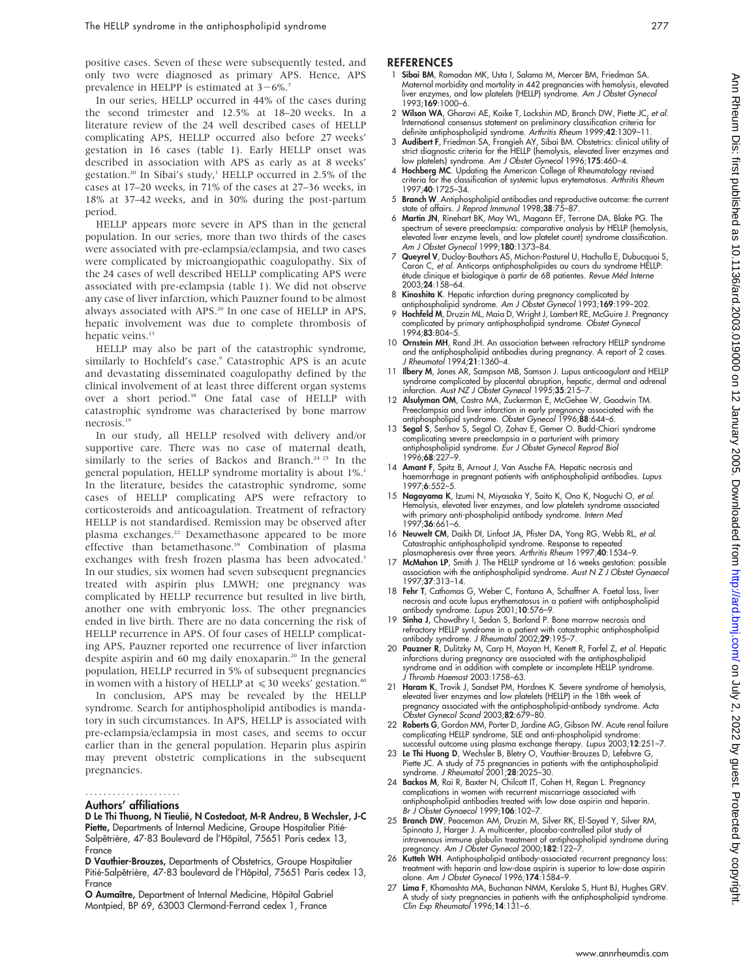positive cases. Seven of these were subsequently tested, and only two were diagnosed as primary APS. Hence, APS prevalence in HELPP is estimated at  $3-6\%$ .<sup>7</sup>

In our series, HELLP occurred in 44% of the cases during the second trimester and 12.5% at 18–20 weeks. In a literature review of the 24 well described cases of HELLP complicating APS, HELLP occurred also before 27 weeks' gestation in 16 cases (table 1). Early HELLP onset was described in association with APS as early as at 8 weeks' gestation.<sup>20</sup> In Sibai's study,<sup>1</sup> HELLP occurred in 2.5% of the cases at 17–20 weeks, in 71% of the cases at 27–36 weeks, in 18% at 37–42 weeks, and in 30% during the post-partum period.

HELLP appears more severe in APS than in the general population. In our series, more than two thirds of the cases were associated with pre-eclampsia/eclampsia, and two cases were complicated by microangiopathic coagulopathy. Six of the 24 cases of well described HELLP complicating APS were associated with pre-eclampsia (table 1). We did not observe any case of liver infarction, which Pauzner found to be almost always associated with APS.<sup>20</sup> In one case of HELLP in APS, hepatic involvement was due to complete thrombosis of hepatic veins.<sup>13</sup>

HELLP may also be part of the catastrophic syndrome, similarly to Hochfeld's case.<sup>9</sup> Catastrophic APS is an acute and devastating disseminated coagulopathy defined by the clinical involvement of at least three different organ systems over a short period.<sup>38</sup> One fatal case of HELLP with catastrophic syndrome was characterised by bone marrow necrosis.19

In our study, all HELLP resolved with delivery and/or supportive care. There was no case of maternal death, similarly to the series of Backos and Branch.<sup>24 25</sup> In the general population, HELLP syndrome mortality is about 1%.<sup>1</sup> In the literature, besides the catastrophic syndrome, some cases of HELLP complicating APS were refractory to corticosteroids and anticoagulation. Treatment of refractory HELLP is not standardised. Remission may be observed after plasma exchanges.<sup>22</sup> Dexamethasone appeared to be more effective than betamethasone.<sup>39</sup> Combination of plasma exchanges with fresh frozen plasma has been advocated.<sup>1</sup> In our studies, six women had seven subsequent pregnancies treated with aspirin plus LMWH; one pregnancy was complicated by HELLP recurrence but resulted in live birth, another one with embryonic loss. The other pregnancies ended in live birth. There are no data concerning the risk of HELLP recurrence in APS. Of four cases of HELLP complicating APS, Pauzner reported one recurrence of liver infarction despite aspirin and 60 mg daily enoxaparin.<sup>20</sup> In the general population, HELLP recurred in 5% of subsequent pregnancies in women with a history of HELLP at  $\leq 30$  weeks' gestation.<sup>40</sup>

In conclusion, APS may be revealed by the HELLP syndrome. Search for antiphospholipid antibodies is mandatory in such circumstances. In APS, HELLP is associated with pre-eclampsia/eclampsia in most cases, and seems to occur earlier than in the general population. Heparin plus aspirin may prevent obstetric complications in the subsequent pregnancies.

#### Authors' affiliations .....................

D Le Thi Thuong, N Tieulié, N Costedoat, M-R Andreu, B Wechsler, J-C Piette, Departments of Internal Medicine, Groupe Hospitalier Pitié-Salpêtrière, 47-83 Boulevard de l'Hôpital, 75651 Paris cedex 13, France

D Vauthier-Brouzes, Departments of Obstetrics, Groupe Hospitalier Pitié-Salpêtrière, 47-83 boulevard de l'Hôpital, 75651 Paris cedex 13, France

O Aumaître, Department of Internal Medicine, Hôpital Gabriel Montpied, BP 69, 63003 Clermond-Ferrand cedex 1, France

#### **REFERENCES**

- 1 Sibai BM, Ramadan MK, Usta I, Salama M, Mercer BM, Friedman SA. Maternal morbidity and mortality in 442 pregnancies with hemolysis, elevated liver enzymes, and low platelets (HELLP) syndrome. Am J Obstet Gynecol 1993;169:1000–6.
- 2 Wilson WA, Gharavi AE, Koike T, Lockshin MD, Branch DW, Piette JC, et al. International consensus statement on preliminary classification criteria for definite antiphospholipid syndrome. Arthritis Rheum 1999;42:1309–11.
- 3 Audibert F, Friedman SA, Frangieh AY, Sibai BM. Obstetrics: clinical utility of strict diagnostic criteria for the HELLP (hemolysis, elevated liver enzymes and low platelets) syndrome. Am J Obstet Gynecol 1996;175:460–4.
- 4 Hochberg MC. Updating the American College of Rheumatology revised criteria for the classification of systemic lupus erytematosus. Arthritis Rheum 1997;40:1725–34.
- 5 Branch W. Antiphospholipid antibodies and reproductive outcome: the current state of affairs. J Reprod Immunol 1998;38:75–87.
- 6 Martin JN, Rinehart BK, May WL, Magann EF, Terrone DA, Blake PG. The spectrum of severe preeclampsia: comparative analysis by HELLP (hemolysis, elevated liver enzyme levels, and low platelet count) syndrome classification. Am J Obstet Gynecol 1999;180:1373–84.
- 7 Queyrel V, Ducloy-Bouthors AS, Michon-Pasturel U, Hachulla E, Dubucquoi S, Caron C, et al. Anticorps antiphospholipides au cours du syndrome HELLP: étude clinique et biologique à partir de 68 patientes. Revue Méd Interne 2003;24:158–64.
- 8 Kinoshita K. Hepatic infarction during pregnancy complicated by
- antiphospholipid syndrome. Am J Obstet Gynecol 1993;**169**:199–202.<br>9 **Hochfeld M**, Druzin ML, Maia D, Wright J, Lambert RE, McGuire J. Pregnancy<br>complicated by primary antiphospholipid syndrome. Obstet Gynecol 1994;83:804–5.
- 10 Ornstein MH, Rand JH. An association between refractory HELLP syndrome and the antiphospholipid antibodies during pregnancy. A report of 2 cases. J Rheumatol 1994;21:1360–4.
- 11 **Ilbery M**, Jones AR, Sampson MB, Samson J. Lupus anticoagulant and HELLP syndrome complicated by placental abruption, hepatic, dermal and adrenal infarction. Aust NZ J Obstet Gynecol 1995;35:215-7.
- 12 Alsulyman OM, Castro MA, Zuckerman E, McGehee W, Goodwin TM. Preeclampsia and liver infarction in early pregnancy associated with the antiphospholipid syndrome. Obstet Gynecol 1996;88:644–6.
- 13 Segal S, Senhav S, Segal O, Zohav E, Gemer O. Budd-Chiari syndrome complicating severe preeclampsia in a parturient with primary antiphospholipid syndrome. Eur J Obstet Gynecol Reprod Biol 1996;68:227–9.
- 14 Amant F, Spitz B, Arnout J, Van Assche FA. Hepatic necrosis and haemorrhage in pregnant patients with antiphospholipid antibodies. Lupus 1997;6:552–5.
- 15 Nagayama K, Izumi N, Miyasaka Y, Saito K, Ono K, Noguchi O, et al. Hemolysis, elevated liver enzymes, and low platelets syndrome associated with primary anti-phospholipid antibody syndrome. Intern Med 1997;36:661–6.
- 16 Neuwelt CM, Daikh DI, Linfoot JA, Pfister DA, Yong RG, Webb RL, et al. Catastrophic antiphospholipid syndrome. Response to repeated
- plasmapheresis over three years. Arthritis Rheum 1997;40:1534–9.<br>17 McMahon LP, Smith J. The HELLP syndrome at 16 weeks gestation: possible<br>association with the antiphospholipid syndrome. Aust N Z J Obstet Gynaeco 1997;37:313–14.
- 18 Fehr T, Cathomas G, Weber C, Fontana A, Schaffner A. Foetal loss, liver necrosis and acute lupus erythematosus in a patient with antiphospholipid antibody syndrome. Lupus 2001;10:576–9.
- 19 Sinha J, Chowdhry I, Sedan S, Barland P. Bone marrow necrosis and refractory HELLP syndrome in a patient with catastrophic antiphospholipid antibody syndrome. J Rheumatol 2002;29:195–7.
- 20 Pauzner R, Dulitzky M, Carp H, Mayan H, Kenett R, Farfel Z, et al. Hepatic infarctions during pregnancy are associated with the antiphospholipid syndrome and in addition with complete or incomplete HELLP syndrome. J Thromb Haemost 2003:1758–63.
- 21 Haram K, Trovik J, Sandset PM, Hordnes K. Severe syndrome of hemolysis, elevated liver enzymes and low platelets (HELLP) in the 18th week of pregnancy associated with the antiphospholipid-antibody syndrome. A*cto*<br>Obstet Gynecol Scand 2003;**82**:679–80.
- 22 Roberts G, Gordon MM, Porter D, Jardine AG, Gibson IW. Acute renal failure complicating HELLP syndrome, SLE and anti-phospholipid syndrome: successful outcome using plasma exchange therapy. Lupus 2003;12:251–7.
- 23 Le Thi Huong D, Wechsler B, Bletry O, Vauthier-Brouzes D, Lefebvre G, Piette JC. A study of 75 pregnancies in patients with the antiphospholipid syndrome. J Rheumatol 2001;28:2025–30.
- 24 Backos M, Rai R, Baxter N, Chilcott IT, Cohen H, Regan L. Pregnancy complications in women with recurrent miscarriage associated with antiphospholipid antibodies treated with low dose aspirin and heparin. Br J Obstet Gynaecol 1999;106:102–7.
- 25 Branch DW, Peaceman AM, Druzin M, Silver RK, El-Sayed Y, Silver RM, Spinnato J, Harger J. A multicenter, placebo-controlled pilot study of intravenous immune globulin treatment of antiphospholipid syndrome during pregnancy. Am J Obstet Gynecol 2000;182:122-7.
- 26 Kutteh WH. Antiphospholipid antibody-associated recurrent pregnancy loss: treatment with heparin and low-dose aspirin is superior to low-dose aspirin alone. Am J Obstet Gynecol 1996;174:1584–9.
- 27 Lima F, Khamashta MA, Buchanan NMM, Kerslake S, Hunt BJ, Hughes GRV. A study of sixty pregnancies in patients with the antiphospholipid syndrome. Clin Exp Rheumatol 1996;14:131–6.